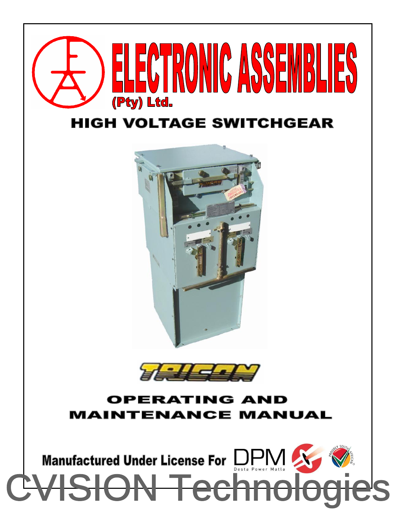

#### **HIGH VOLTAGE SWITCHGEAR**





#### OPERA7 ING NID ENANCE MANUAL

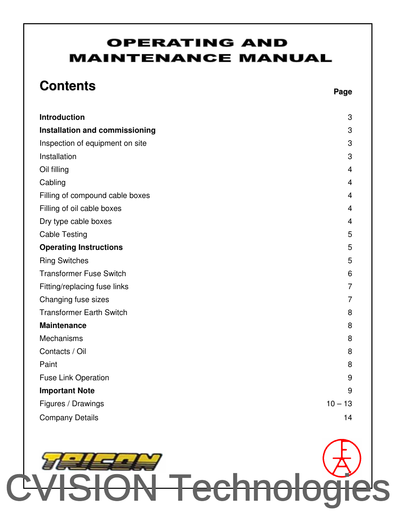#### **OPERATING AND MAINTENANCE MANUAL**

## **Contents**

| <b>Introduction</b>             | 3              |
|---------------------------------|----------------|
| Installation and commissioning  | 3              |
| Inspection of equipment on site | 3              |
| Installation                    | 3              |
| Oil filling                     | $\overline{4}$ |
| Cabling                         | 4              |
| Filling of compound cable boxes | 4              |
| Filling of oil cable boxes      | 4              |
| Dry type cable boxes            | 4              |
| <b>Cable Testing</b>            | 5              |
| <b>Operating Instructions</b>   | 5              |
| <b>Ring Switches</b>            | 5              |
| <b>Transformer Fuse Switch</b>  | 6              |
| Fitting/replacing fuse links    | $\overline{7}$ |
| Changing fuse sizes             | $\overline{7}$ |
| <b>Transformer Earth Switch</b> | 8              |
| <b>Maintenance</b>              | 8              |
| Mechanisms                      | 8              |
| Contacts / Oil                  | 8              |
| Paint                           | 8              |
| <b>Fuse Link Operation</b>      | 9              |
| <b>Important Note</b>           | 9              |
| Figures / Drawings              | $10 - 13$      |
| <b>Company Details</b>          | 14             |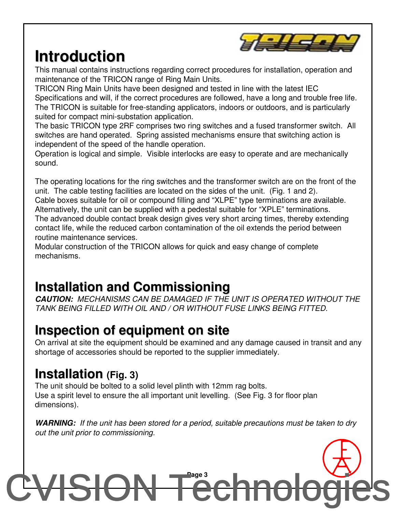

## **Introduction**

This manual contains instructions regarding correct procedures for installation, operation and maintenance of the TRICON range of Ring Main Units.

TRICON Ring Main Units have been designed and tested in line with the latest IEC Specifications and will, if the correct procedures are followed, have a long and trouble free life. The TRICON is suitable for free-standing applicators, indoors or outdoors, and is particularly suited for compact mini-substation application.

The basic TRICON type 2RF comprises two ring switches and a fused transformer switch. All switches are hand operated. Spring assisted mechanisms ensure that switching action is independent of the speed of the handle operation.

Operation is logical and simple. Visible interlocks are easy to operate and are mechanically sound.

The operating locations for the ring switches and the transformer switch are on the front of the unit. The cable testing facilities are located on the sides of the unit. (Fig. 1 and 2). Cable boxes suitable for oil or compound filling and "XLPE" type terminations are available. Alternatively, the unit can be supplied with a pedestal suitable for "XPLE" terminations. The advanced double contact break design gives very short arcing times, thereby extending contact life, while the reduced carbon contamination of the oil extends the period between routine maintenance services.

Modular construction of the TRICON allows for quick and easy change of complete mechanisms.

#### **Installation and Commissioning**

*CAUTION: MECHANISMS CAN BE DAMAGED IF THE UNIT IS OPERATED WITHOUT THE TANK BEING FILLED WITH OIL AND / OR WITHOUT FUSE LINKS BEING FITTED.*

#### **Inspection of equipment on site**

On arrival at site the equipment should be examined and any damage caused in transit and any shortage of accessories should be reported to the supplier immediately.

#### **Installation (Fig. 3)**

The unit should be bolted to a solid level plinth with 12mm rag bolts. Use a spirit level to ensure the all important unit levelling. (See Fig. 3 for floor plan dimensions).

*WARNING: If the unit has been stored for a period, suitable precautions must be taken to dry out the unit prior to commissioning.*

## **Page 3** [CVISION Technologies](http://www.cvisiontech.com)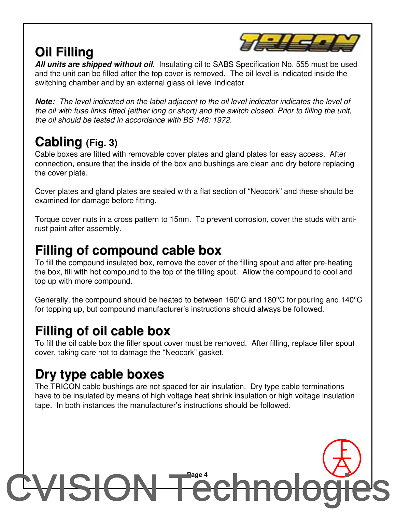### **Oil Filling**



*All units are shipped without oil.* Insulating oil to SABS Specification No. 555 must be used and the unit can be filled after the top cover is removed. The oil level is indicated inside the switching chamber and by an external glass oil level indicator

*Note: The level indicated on the label adjacent to the oil level indicator indicates the level of* the oil with fuse links fitted (either long or short) and the switch closed. Prior to filling the unit, *the oil should be tested in accordance with BS 148: 1972.*

#### **Cabling (Fig. 3)**

Cable boxes are fitted with removable cover plates and gland plates for easy access. After connection, ensure that the inside of the box and bushings are clean and dry before replacing the cover plate.

Cover plates and gland plates are sealed with a flat section of "Neocork" and these should be examined for damage before fitting.

Torque cover nuts in a cross pattern to 15nm. To prevent corrosion, cover the studs with antirust paint after assembly.

#### **Filling of compound cable box**

To fill the compound insulated box, remove the cover of the filling spout and after pre-heating the box, fill with hot compound to the top of the filling spout. Allow the compound to cool and top up with more compound.

Generally, the compound should be heated to between 160ºC and 180ºC for pouring and 140ºC for topping up, but compound manufacturer's instructions should always be followed.

#### **Filling of oil cable box**

To fill the oil cable box the filler spout cover must be removed. After filling, replace filler spout cover, taking care not to damage the "Neocork" gasket.

#### **Dry type cable boxes**

The TRICON cable bushings are not spaced for air insulation. Dry type cable terminations have to be insulated by means of high voltage heat shrink insulation or high voltage insulation tape. In both instances the manufacturer's instructions should be followed.

## **Page 4** [CVISION Technologies](http://www.cvisiontech.com)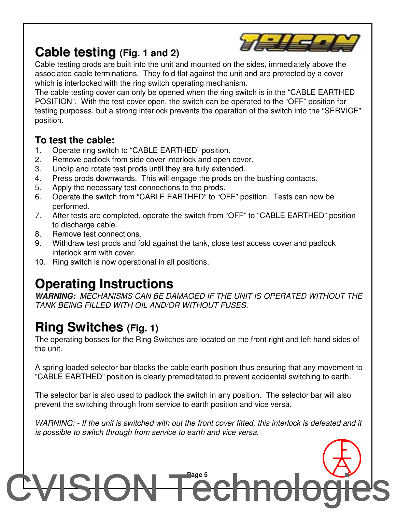

#### **Cable testing (Fig. 1 and 2)**

Cable testing prods are built into the unit and mounted on the sides, immediately above the associated cable terminations. They fold flat against the unit and are protected by a cover which is interlocked with the ring switch operating mechanism.

The cable testing cover can only be opened when the ring switch is in the "CABLE EARTHED POSITION". With the test cover open, the switch can be operated to the "OFF" position for testing purposes, but a strong interlock prevents the operation of the switch into the "SERVICE" position.

#### **To test the cable:**

- 1. Operate ring switch to "CABLE EARTHED" position.
- 2. Remove padlock from side cover interlock and open cover.
- 3. Unclip and rotate test prods until they are fully extended.
- 4. Press prods downwards. This will engage the prods on the bushing contacts.
- 5. Apply the necessary test connections to the prods.
- 6. Operate the switch from "CABLE EARTHED" to "OFF" position. Tests can now be performed.
- 7. After tests are completed, operate the switch from "OFF" to "CABLE EARTHED" position to discharge cable.
- 8. Remove test connections.
- 9. Withdraw test prods and fold against the tank, close test access cover and padlock interlock arm with cover.
- 10. Ring switch is now operational in all positions.

### **Operating Instructions**

*WARNING: MECHANISMS CAN BE DAMAGED IF THE UNIT IS OPERATED WITHOUT THE TANK BEING FILLED WITH OIL AND/OR WITHOUT FUSES.*

### **Ring Switches (Fig. 1)**

The operating bosses for the Ring Switches are located on the front right and left hand sides of the unit.

A spring loaded selector bar blocks the cable earth position thus ensuring that any movement to "CABLE EARTHED" position is clearly premeditated to prevent accidental switching to earth.

The selector bar is also used to padlock the switch in any position. The selector bar will also prevent the switching through from service to earth position and vice versa.

WARNING: - If the unit is switched with out the front cover fitted, this interlock is defeated and it *is possible to switch through from service to earth and vice versa.*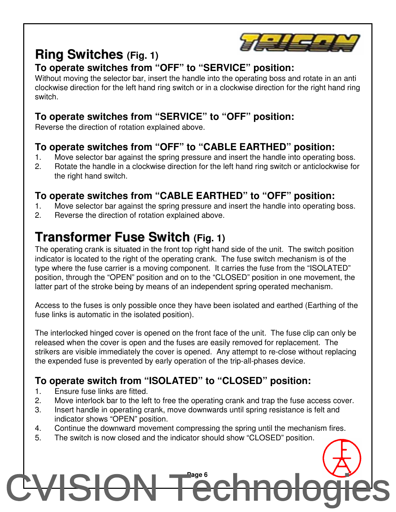

#### **Ring Switches (Fig. 1)**

#### **To operate switches from "OFF" to "SERVICE" position:**

Without moving the selector bar, insert the handle into the operating boss and rotate in an anti clockwise direction for the left hand ring switch or in a clockwise direction for the right hand ring switch.

#### **To operate switches from "SERVICE" to "OFF" position:**

Reverse the direction of rotation explained above.

#### **To operate switches from "OFF" to "CABLE EARTHED" position:**

- 1. Move selector bar against the spring pressure and insert the handle into operating boss.
- 2. Rotate the handle in a clockwise direction for the left hand ring switch or anticlockwise for the right hand switch.

#### **To operate switches from "CABLE EARTHED" to "OFF" position:**

- 1. Move selector bar against the spring pressure and insert the handle into operating boss.
- 2. Reverse the direction of rotation explained above.

### **Transformer Fuse Switch (Fig. 1)**

The operating crank is situated in the front top right hand side of the unit. The switch position indicator is located to the right of the operating crank. The fuse switch mechanism is of the type where the fuse carrier is a moving component. It carries the fuse from the "ISOLATED" position, through the "OPEN" position and on to the "CLOSED" position in one movement, the latter part of the stroke being by means of an independent spring operated mechanism.

Access to the fuses is only possible once they have been isolated and earthed (Earthing of the fuse links is automatic in the isolated position).

The interlocked hinged cover is opened on the front face of the unit. The fuse clip can only be released when the cover is open and the fuses are easily removed for replacement. The strikers are visible immediately the cover is opened. Any attempt to re-close without replacing the expended fuse is prevented by early operation of the trip-all-phases device.

#### **To operate switch from "ISOLATED" to "CLOSED" position:**

- 1. Ensure fuse links are fitted.
- 2. Move interlock bar to the left to free the operating crank and trap the fuse access cover.
- 3. Insert handle in operating crank, move downwards until spring resistance is felt and indicator shows "OPEN" position.
- 4. Continue the downward movement compressing the spring until the mechanism fires.
- 5. The switch is now closed and the indicator should show "CLOSED" position.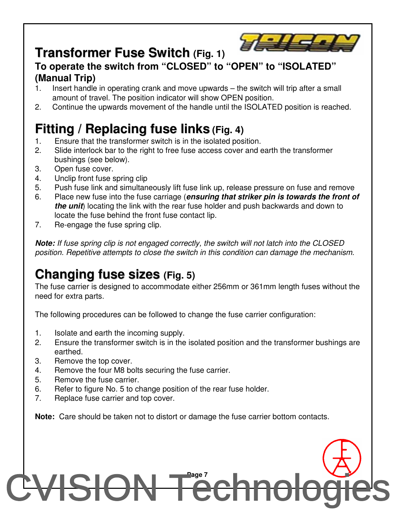## **Transformer Fuse Switch (Fig. 1)**



#### **To operate the switch from "CLOSED" to "OPEN" to "ISOLATED" (Manual Trip)**

- 1. Insert handle in operating crank and move upwards the switch will trip after a small amount of travel. The position indicator will show OPEN position.
- 2. Continue the upwards movement of the handle until the ISOLATED position is reached.

## **Fitting / Replacing fuse links (Fig. 4)**

- 1. Ensure that the transformer switch is in the isolated position.
- 2. Slide interlock bar to the right to free fuse access cover and earth the transformer bushings (see below).
- 3. Open fuse cover.
- 4. Unclip front fuse spring clip
- 5. Push fuse link and simultaneously lift fuse link up, release pressure on fuse and remove
- 6. Place new fuse into the fuse carriage (*ensuring that striker pin is towards the front of the unit*) locating the link with the rear fuse holder and push backwards and down to locate the fuse behind the front fuse contact lip.
- 7. Re-engage the fuse spring clip.

*Note: If fuse spring clip is not engaged correctly, the switch will not latch into the CLOSED position. Repetitive attempts to close the switch in this condition can damage the mechanism.*

### **Changing fuse sizes (Fig. 5)**

The fuse carrier is designed to accommodate either 256mm or 361mm length fuses without the need for extra parts.

The following procedures can be followed to change the fuse carrier configuration:

- 1. Isolate and earth the incoming supply.
- 2. Ensure the transformer switch is in the isolated position and the transformer bushings are earthed.
- 3. Remove the top cover.
- 4. Remove the four M8 bolts securing the fuse carrier.
- 5. Remove the fuse carrier.
- 6. Refer to figure No. 5 to change position of the rear fuse holder.
- 7. Replace fuse carrier and top cover.

**Note:** Care should be taken not to distort or damage the fuse carrier bottom contacts.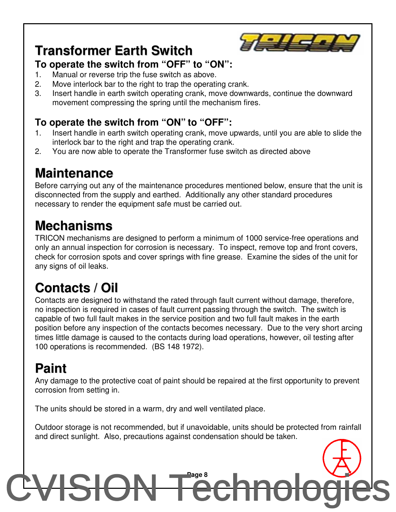

#### **Transformer Earth Switch**

#### **To operate the switch from "OFF" to "ON":**

- 1. Manual or reverse trip the fuse switch as above.
- 2. Move interlock bar to the right to trap the operating crank.
- 3. Insert handle in earth switch operating crank, move downwards, continue the downward movement compressing the spring until the mechanism fires.

#### **To operate the switch from "ON" to "OFF":**

- 1. Insert handle in earth switch operating crank, move upwards, until you are able to slide the interlock bar to the right and trap the operating crank.
- 2. You are now able to operate the Transformer fuse switch as directed above

### **Maintenance**

Before carrying out any of the maintenance procedures mentioned below, ensure that the unit is disconnected from the supply and earthed. Additionally any other standard procedures necessary to render the equipment safe must be carried out.

### **Mechanisms**

TRICON mechanisms are designed to perform a minimum of 1000 service-free operations and only an annual inspection for corrosion is necessary. To inspect, remove top and front covers, check for corrosion spots and cover springs with fine grease. Examine the sides of the unit for any signs of oil leaks.

## **Contacts / Oil**

Contacts are designed to withstand the rated through fault current without damage, therefore, no inspection is required in cases of fault current passing through the switch. The switch is capable of two full fault makes in the service position and two full fault makes in the earth position before any inspection of the contacts becomes necessary. Due to the very short arcing times little damage is caused to the contacts during load operations, however, oil testing after 100 operations is recommended. (BS 148 1972).

### **Paint**

Any damage to the protective coat of paint should be repaired at the first opportunity to prevent corrosion from setting in.

The units should be stored in a warm, dry and well ventilated place.

Outdoor storage is not recommended, but if unavoidable, units should be protected from rainfall and direct sunlight. Also, precautions against condensation should be taken.

## **Page 8** [CVISION Technologies](http://www.cvisiontech.com)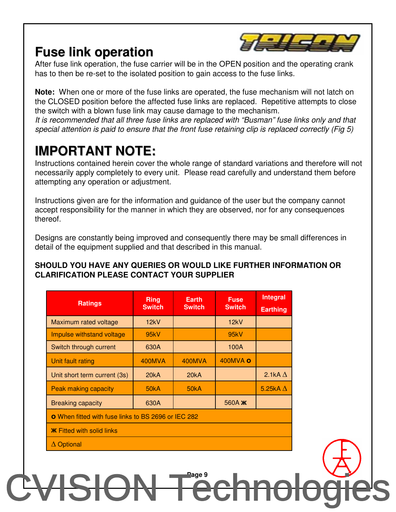#### **Fuse link operation**



After fuse link operation, the fuse carrier will be in the OPEN position and the operating crank has to then be re-set to the isolated position to gain access to the fuse links.

**Note:** When one or more of the fuse links are operated, the fuse mechanism will not latch on the CLOSED position before the affected fuse links are replaced. Repetitive attempts to close the switch with a blown fuse link may cause damage to the mechanism.

*It is recommended that all three fuse links are replaced with "Busman" fuse links only and that special attention is paid to ensure that the front fuse retaining clip is replaced correctly (Fig 5)*

### **IMPORTANT NOTE:**

Instructions contained herein cover the whole range of standard variations and therefore will not necessarily apply completely to every unit. Please read carefully and understand them before attempting any operation or adjustment.

Instructions given are for the information and guidance of the user but the company cannot accept responsibility for the manner in which they are observed, nor for any consequences thereof.

Designs are constantly being improved and consequently there may be small differences in detail of the equipment supplied and that described in this manual.

#### **SHOULD YOU HAVE ANY QUERIES OR WOULD LIKE FURTHER INFORMATION OR CLARIFICATION PLEASE CONTACT YOUR SUPPLIER**

| <b>Ratings</b>                                             | <b>Ring</b><br><b>Switch</b> | <b>Earth</b><br><b>Switch</b> | <b>Fuse</b><br><b>Switch</b> | <b>Integral</b><br><b>Earthing</b> |  |
|------------------------------------------------------------|------------------------------|-------------------------------|------------------------------|------------------------------------|--|
| Maximum rated voltage                                      | 12kV                         |                               | 12kV                         |                                    |  |
| Impulse withstand voltage                                  | 95kV                         |                               | 95kV                         |                                    |  |
| Switch through current                                     | 630A                         |                               | 100A                         |                                    |  |
| Unit fault rating                                          | 400MVA                       | 400MVA                        | 400MVA O                     |                                    |  |
| Unit short term current (3s)                               | 20kA                         | 20kA                          |                              | 2.1kA $\Delta$                     |  |
| <b>Peak making capacity</b>                                | 50kA                         | 50 <sub>k</sub> A             |                              | 5.25kA $\Delta$                    |  |
| <b>Breaking capacity</b>                                   | 630A                         |                               | 560A <b><i>K</i></b>         |                                    |  |
| <b>O</b> When fitted with fuse links to BS 2696 or IEC 282 |                              |                               |                              |                                    |  |
| <b>K</b> Fitted with solid links                           |                              |                               |                              |                                    |  |
| $\Delta$ Optional                                          |                              |                               |                              |                                    |  |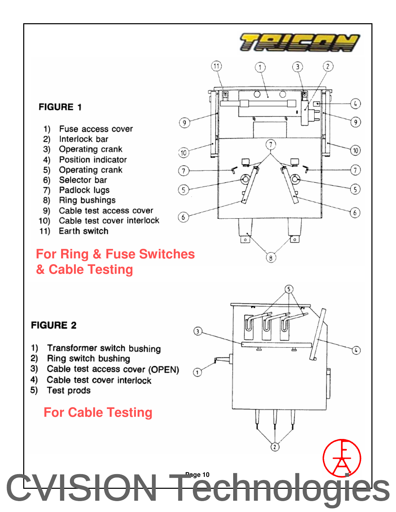#### **FIGURE 1**

- $1)$ Fuse access cover
- Interlock bar 2)
- Operating crank 3)
- Position indicator 4)
- 5) Operating crank
- Selector bar 6)
- 7) Padlock lugs
- 8) Ring bushings
- 9) Cable test access cover
- 10) Cable test cover interlock
- 11) Earth switch

#### **For Ring & Fuse Switches** & Cable Testing

#### **FIGURE 2**

- 1) Transformer switch bushing
- 2) Ring switch bushing
- 3) Cable test access cover (OPEN)
- 4) Cable test cover interlock
- Test prods 5)

#### **For Cable Testing**

# CVISION Tech

᠗

⋒

11

 $\circledcirc$ 

 $\circledR$ 

(7

G,

(6

P

2

 $\left( \frac{1}{2} \right)$ 

 $\mathsf{g}$ 

10)

7

5)

 $6<sup>2</sup>$ 

3

C

 $\tau$ 

ਨ

 $\overline{\circ}$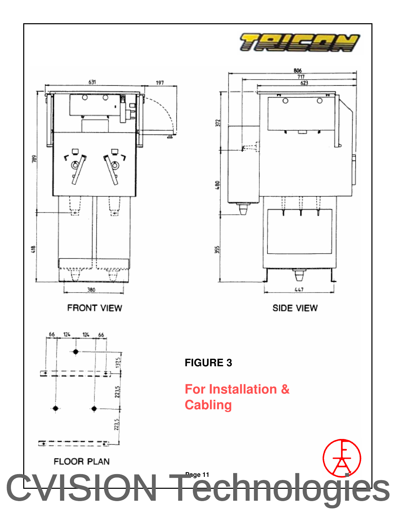





### **For Installation & Cabling**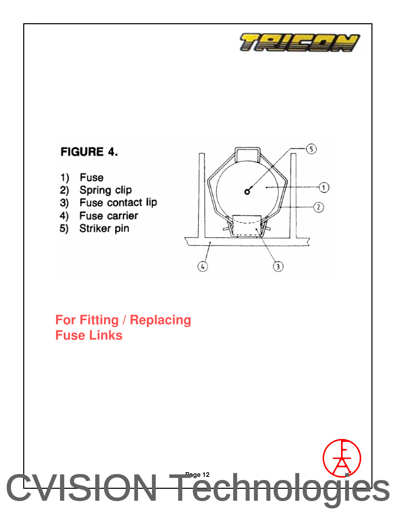

#### FIGURE 4.

- Fuse 1)
- Spring clip 2)
- Fuse contact lip 3)
- 4) Fuse carrier
- 5) Striker pin



#### **For Fitting / Replacing Fuse Links**

## **Page 12** [CVISION Technologies](http://www.cvisiontech.com)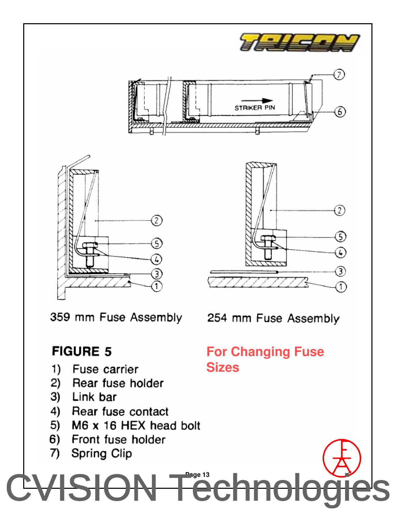

- Rear fuse holder 2)
- 3) Link bar
- 4) Rear fuse contact
- 5) M6 x 16 HEX head bolt
- 6) Front fuse holder
- 7) Spring Clip
- SION Ted